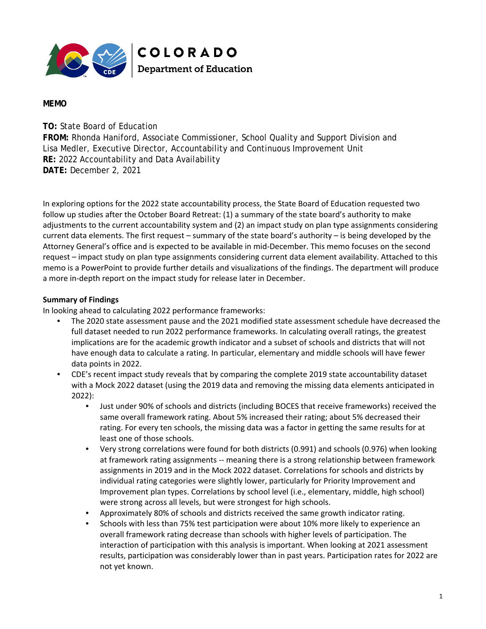

## **MEMO**

**TO:** State Board of Education

**FROM:** Rhonda Haniford, Associate Commissioner, School Quality and Support Division and Lisa Medler, Executive Director, Accountability and Continuous Improvement Unit **RE:** 2022 Accountability and Data Availability **DATE:** December 2, 2021

In exploring options for the 2022 state accountability process, the State Board of Education requested two follow up studies after the October Board Retreat: (1) a summary of the state board's authority to make adjustments to the current accountability system and (2) an impact study on plan type assignments considering current data elements. The first request – summary of the state board's authority – is being developed by the Attorney General's office and is expected to be available in mid-December. This memo focuses on the second request – impact study on plan type assignments considering current data element availability. Attached to this memo is a PowerPoint to provide further details and visualizations of the findings. The department will produce a more in-depth report on the impact study for release later in December.

## **Summary of Findings**

In looking ahead to calculating 2022 performance frameworks:

- The 2020 state assessment pause and the 2021 modified state assessment schedule have decreased the full dataset needed to run 2022 performance frameworks. In calculating overall ratings, the greatest implications are for the academic growth indicator and a subset of schools and districts that will not have enough data to calculate a rating. In particular, elementary and middle schools will have fewer data points in 2022.
- CDE's recent impact study reveals that by comparing the complete 2019 state accountability dataset with a Mock 2022 dataset (using the 2019 data and removing the missing data elements anticipated in 2022):
	- Just under 90% of schools and districts (including BOCES that receive frameworks) received the same overall framework rating. About 5% increased their rating; about 5% decreased their rating. For every ten schools, the missing data was a factor in getting the same results for at least one of those schools.
	- Very strong correlations were found for both districts (0.991) and schools (0.976) when looking at framework rating assignments -- meaning there is a strong relationship between framework assignments in 2019 and in the Mock 2022 dataset. Correlations for schools and districts by individual rating categories were slightly lower, particularly for Priority Improvement and Improvement plan types. Correlations by school level (i.e., elementary, middle, high school) were strong across all levels, but were strongest for high schools.
	- Approximately 80% of schools and districts received the same growth indicator rating.
	- Schools with less than 75% test participation were about 10% more likely to experience an overall framework rating decrease than schools with higher levels of participation. The interaction of participation with this analysis is important. When looking at 2021 assessment results, participation was considerably lower than in past years. Participation rates for 2022 are not yet known.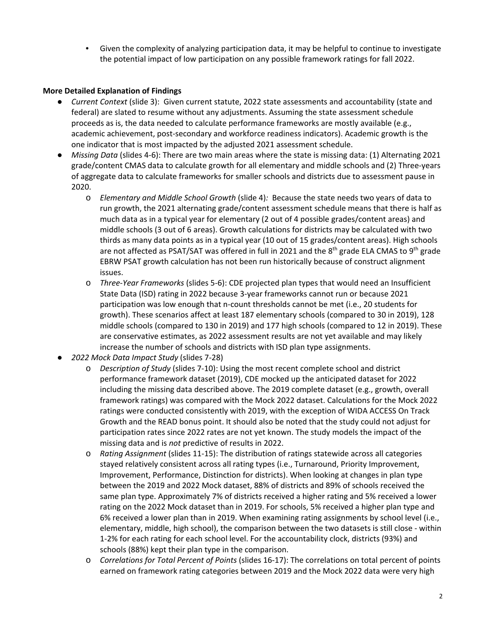• Given the complexity of analyzing participation data, it may be helpful to continue to investigate the potential impact of low participation on any possible framework ratings for fall 2022.

## **More Detailed Explanation of Findings**

- *Current Context* (slide 3): Given current statute, 2022 state assessments and accountability (state and federal) are slated to resume without any adjustments. Assuming the state assessment schedule proceeds as is, the data needed to calculate performance frameworks are mostly available (e.g., academic achievement, post-secondary and workforce readiness indicators). Academic growth is the one indicator that is most impacted by the adjusted 2021 assessment schedule.
- *Missing Data* (slides 4-6): There are two main areas where the state is missing data: (1) Alternating 2021 grade/content CMAS data to calculate growth for all elementary and middle schools and (2) Three-years of aggregate data to calculate frameworks for smaller schools and districts due to assessment pause in 2020.
	- o *Elementary and Middle School Growth* (slide 4)*:* Because the state needs two years of data to run growth, the 2021 alternating grade/content assessment schedule means that there is half as much data as in a typical year for elementary (2 out of 4 possible grades/content areas) and middle schools (3 out of 6 areas). Growth calculations for districts may be calculated with two thirds as many data points as in a typical year (10 out of 15 grades/content areas). High schools are not affected as PSAT/SAT was offered in full in 2021 and the  $8<sup>th</sup>$  grade ELA CMAS to  $9<sup>th</sup>$  grade EBRW PSAT growth calculation has not been run historically because of construct alignment issues.
	- o *Three-Year Frameworks* (slides 5-6): CDE projected plan types that would need an Insufficient State Data (ISD) rating in 2022 because 3-year frameworks cannot run or because 2021 participation was low enough that n-count thresholds cannot be met (i.e., 20 students for growth). These scenarios affect at least 187 elementary schools (compared to 30 in 2019), 128 middle schools (compared to 130 in 2019) and 177 high schools (compared to 12 in 2019). These are conservative estimates, as 2022 assessment results are not yet available and may likely increase the number of schools and districts with ISD plan type assignments.
- *2022 Mock Data Impact Study* (slides 7-28)
	- o *Description of Study* (slides 7-10): Using the most recent complete school and district performance framework dataset (2019), CDE mocked up the anticipated dataset for 2022 including the missing data described above. The 2019 complete dataset (e.g., growth, overall framework ratings) was compared with the Mock 2022 dataset. Calculations for the Mock 2022 ratings were conducted consistently with 2019, with the exception of WIDA ACCESS On Track Growth and the READ bonus point. It should also be noted that the study could not adjust for participation rates since 2022 rates are not yet known. The study models the impact of the missing data and is *not* predictive of results in 2022.
	- o *Rating Assignment* (slides 11-15): The distribution of ratings statewide across all categories stayed relatively consistent across all rating types (i.e., Turnaround, Priority Improvement, Improvement, Performance, Distinction for districts). When looking at changes in plan type between the 2019 and 2022 Mock dataset, 88% of districts and 89% of schools received the same plan type. Approximately 7% of districts received a higher rating and 5% received a lower rating on the 2022 Mock dataset than in 2019. For schools, 5% received a higher plan type and 6% received a lower plan than in 2019. When examining rating assignments by school level (i.e., elementary, middle, high school), the comparison between the two datasets is still close - within 1-2% for each rating for each school level. For the accountability clock, districts (93%) and schools (88%) kept their plan type in the comparison.
	- o *Correlations for Total Percent of Points* (slides 16-17): The correlations on total percent of points earned on framework rating categories between 2019 and the Mock 2022 data were very high